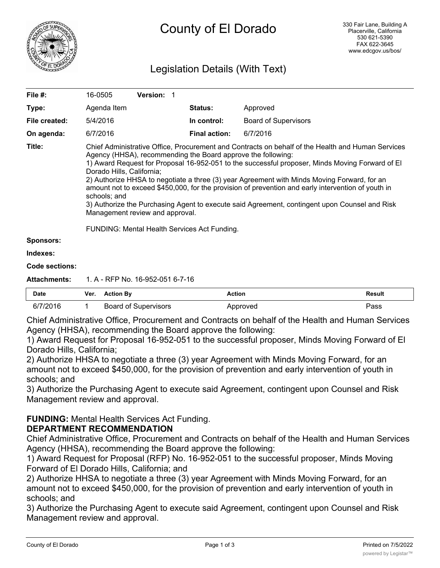

# Legislation Details (With Text)

| <b>Date</b>           | <b>Action By</b><br>Ver.                                                                                                                                                                                                                                                                                                                                                                                                                                                                                                                                                                                                                                   | <b>Action</b>        |                             | <b>Result</b> |  |  |
|-----------------------|------------------------------------------------------------------------------------------------------------------------------------------------------------------------------------------------------------------------------------------------------------------------------------------------------------------------------------------------------------------------------------------------------------------------------------------------------------------------------------------------------------------------------------------------------------------------------------------------------------------------------------------------------------|----------------------|-----------------------------|---------------|--|--|
| <b>Attachments:</b>   | 1. A - RFP No. 16-952-051 6-7-16                                                                                                                                                                                                                                                                                                                                                                                                                                                                                                                                                                                                                           |                      |                             |               |  |  |
| <b>Code sections:</b> |                                                                                                                                                                                                                                                                                                                                                                                                                                                                                                                                                                                                                                                            |                      |                             |               |  |  |
| Indexes:              |                                                                                                                                                                                                                                                                                                                                                                                                                                                                                                                                                                                                                                                            |                      |                             |               |  |  |
| <b>Sponsors:</b>      |                                                                                                                                                                                                                                                                                                                                                                                                                                                                                                                                                                                                                                                            |                      |                             |               |  |  |
|                       | <b>FUNDING: Mental Health Services Act Funding.</b>                                                                                                                                                                                                                                                                                                                                                                                                                                                                                                                                                                                                        |                      |                             |               |  |  |
| Title:                | Chief Administrative Office, Procurement and Contracts on behalf of the Health and Human Services<br>Agency (HHSA), recommending the Board approve the following:<br>1) Award Request for Proposal 16-952-051 to the successful proposer, Minds Moving Forward of El<br>Dorado Hills, California;<br>2) Authorize HHSA to negotiate a three (3) year Agreement with Minds Moving Forward, for an<br>amount not to exceed \$450,000, for the provision of prevention and early intervention of youth in<br>schools; and<br>3) Authorize the Purchasing Agent to execute said Agreement, contingent upon Counsel and Risk<br>Management review and approval. |                      |                             |               |  |  |
| On agenda:            | 6/7/2016                                                                                                                                                                                                                                                                                                                                                                                                                                                                                                                                                                                                                                                   | <b>Final action:</b> | 6/7/2016                    |               |  |  |
| File created:         | 5/4/2016                                                                                                                                                                                                                                                                                                                                                                                                                                                                                                                                                                                                                                                   | In control:          | <b>Board of Supervisors</b> |               |  |  |
| Type:                 | Agenda Item                                                                                                                                                                                                                                                                                                                                                                                                                                                                                                                                                                                                                                                | <b>Status:</b>       | Approved                    |               |  |  |
| File #:               | <b>Version: 1</b><br>16-0505                                                                                                                                                                                                                                                                                                                                                                                                                                                                                                                                                                                                                               |                      |                             |               |  |  |
|                       |                                                                                                                                                                                                                                                                                                                                                                                                                                                                                                                                                                                                                                                            |                      |                             |               |  |  |

| Date     | ver. | ACUOILDV             | ACUON    | result |
|----------|------|----------------------|----------|--------|
| 6/7/2016 |      | Board of Supervisors | Approved | Pass   |

Chief Administrative Office, Procurement and Contracts on behalf of the Health and Human Services Agency (HHSA), recommending the Board approve the following:

1) Award Request for Proposal 16-952-051 to the successful proposer, Minds Moving Forward of El Dorado Hills, California;

2) Authorize HHSA to negotiate a three (3) year Agreement with Minds Moving Forward, for an amount not to exceed \$450,000, for the provision of prevention and early intervention of youth in schools; and

3) Authorize the Purchasing Agent to execute said Agreement, contingent upon Counsel and Risk Management review and approval.

**FUNDING:** Mental Health Services Act Funding.

# **DEPARTMENT RECOMMENDATION**

Chief Administrative Office, Procurement and Contracts on behalf of the Health and Human Services Agency (HHSA), recommending the Board approve the following:

1) Award Request for Proposal (RFP) No. 16-952-051 to the successful proposer, Minds Moving Forward of El Dorado Hills, California; and

2) Authorize HHSA to negotiate a three (3) year Agreement with Minds Moving Forward, for an amount not to exceed \$450,000, for the provision of prevention and early intervention of youth in schools; and

3) Authorize the Purchasing Agent to execute said Agreement, contingent upon Counsel and Risk Management review and approval.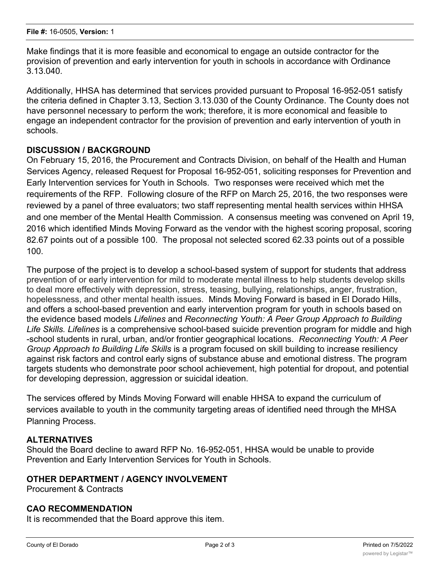Make findings that it is more feasible and economical to engage an outside contractor for the provision of prevention and early intervention for youth in schools in accordance with Ordinance 3.13.040.

Additionally, HHSA has determined that services provided pursuant to Proposal 16-952-051 satisfy the criteria defined in Chapter 3.13, Section 3.13.030 of the County Ordinance. The County does not have personnel necessary to perform the work; therefore, it is more economical and feasible to engage an independent contractor for the provision of prevention and early intervention of youth in schools.

### **DISCUSSION / BACKGROUND**

On February 15, 2016, the Procurement and Contracts Division, on behalf of the Health and Human Services Agency, released Request for Proposal 16-952-051, soliciting responses for Prevention and Early Intervention services for Youth in Schools. Two responses were received which met the requirements of the RFP. Following closure of the RFP on March 25, 2016, the two responses were reviewed by a panel of three evaluators; two staff representing mental health services within HHSA and one member of the Mental Health Commission. A consensus meeting was convened on April 19, 2016 which identified Minds Moving Forward as the vendor with the highest scoring proposal, scoring 82.67 points out of a possible 100. The proposal not selected scored 62.33 points out of a possible 100.

The purpose of the project is to develop a school-based system of support for students that address prevention of or early intervention for mild to moderate mental illness to help students develop skills to deal more effectively with depression, stress, teasing, bullying, relationships, anger, frustration, hopelessness, and other mental health issues. Minds Moving Forward is based in El Dorado Hills, and offers a school-based prevention and early intervention program for youth in schools based on the evidence based models *Lifelines* and *Reconnecting Youth: A Peer Group Approach to Building Life Skills. Lifelines* is a comprehensive school-based suicide prevention program for middle and high -school students in rural, urban, and/or frontier geographical locations. *Reconnecting Youth: A Peer Group Approach to Building Life Skills* is a program focused on skill building to increase resiliency against risk factors and control early signs of substance abuse and emotional distress. The program targets students who demonstrate poor school achievement, high potential for dropout, and potential for developing depression, aggression or suicidal ideation.

The services offered by Minds Moving Forward will enable HHSA to expand the curriculum of services available to youth in the community targeting areas of identified need through the MHSA Planning Process.

### **ALTERNATIVES**

Should the Board decline to award RFP No. 16-952-051, HHSA would be unable to provide Prevention and Early Intervention Services for Youth in Schools.

### **OTHER DEPARTMENT / AGENCY INVOLVEMENT**

Procurement & Contracts

### **CAO RECOMMENDATION**

It is recommended that the Board approve this item.